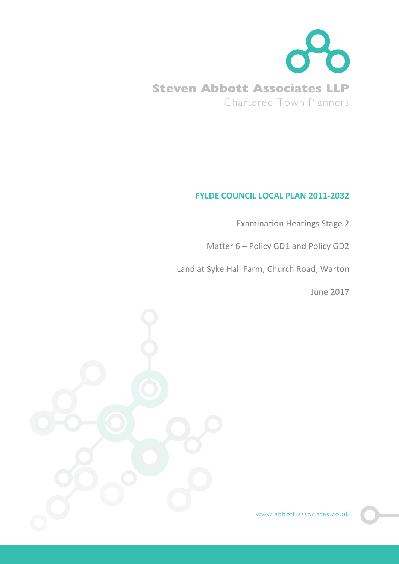

## **FYLDE COUNCIL LOCAL PLAN 2011-2032**

Examination Hearings Stage 2

Matter 6 – Policy GD1 and Policy GD2

Land at Syke Hall Farm, Church Road, Warton

June 2017



www.abbott-associates.co.uk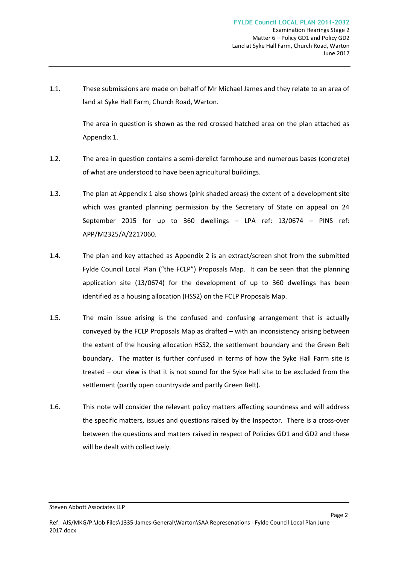1.1. These submissions are made on behalf of Mr Michael James and they relate to an area of land at Syke Hall Farm, Church Road, Warton.

> The area in question is shown as the red crossed hatched area on the plan attached as Appendix 1.

- 1.2. The area in question contains a semi-derelict farmhouse and numerous bases (concrete) of what are understood to have been agricultural buildings.
- 1.3. The plan at Appendix 1 also shows (pink shaded areas) the extent of a development site which was granted planning permission by the Secretary of State on appeal on 24 September 2015 for up to 360 dwellings – LPA ref: 13/0674 – PINS ref: APP/M2325/A/2217060.
- 1.4. The plan and key attached as Appendix 2 is an extract/screen shot from the submitted Fylde Council Local Plan ("the FCLP") Proposals Map. It can be seen that the planning application site (13/0674) for the development of up to 360 dwellings has been identified as a housing allocation (HSS2) on the FCLP Proposals Map.
- 1.5. The main issue arising is the confused and confusing arrangement that is actually conveyed by the FCLP Proposals Map as drafted – with an inconsistency arising between the extent of the housing allocation HSS2, the settlement boundary and the Green Belt boundary. The matter is further confused in terms of how the Syke Hall Farm site is treated – our view is that it is not sound for the Syke Hall site to be excluded from the settlement (partly open countryside and partly Green Belt).
- 1.6. This note will consider the relevant policy matters affecting soundness and will address the specific matters, issues and questions raised by the Inspector. There is a cross-over between the questions and matters raised in respect of Policies GD1 and GD2 and these will be dealt with collectively.

Steven Abbott Associates LLP

Page 2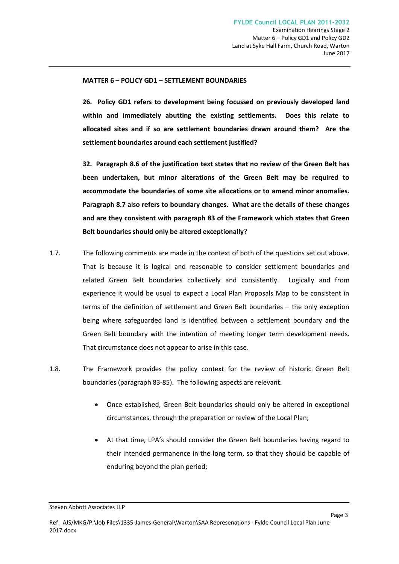## **MATTER 6 – POLICY GD1 – SETTLEMENT BOUNDARIES**

**26. Policy GD1 refers to development being focussed on previously developed land within and immediately abutting the existing settlements. Does this relate to allocated sites and if so are settlement boundaries drawn around them? Are the settlement boundaries around each settlement justified?**

**32. Paragraph 8.6 of the justification text states that no review of the Green Belt has been undertaken, but minor alterations of the Green Belt may be required to accommodate the boundaries of some site allocations or to amend minor anomalies. Paragraph 8.7 also refers to boundary changes. What are the details of these changes and are they consistent with paragraph 83 of the Framework which states that Green Belt boundaries should only be altered exceptionally**?

- 1.7. The following comments are made in the context of both of the questions set out above. That is because it is logical and reasonable to consider settlement boundaries and related Green Belt boundaries collectively and consistently. Logically and from experience it would be usual to expect a Local Plan Proposals Map to be consistent in terms of the definition of settlement and Green Belt boundaries – the only exception being where safeguarded land is identified between a settlement boundary and the Green Belt boundary with the intention of meeting longer term development needs. That circumstance does not appear to arise in this case.
- 1.8. The Framework provides the policy context for the review of historic Green Belt boundaries (paragraph 83-85). The following aspects are relevant:
	- · Once established, Green Belt boundaries should only be altered in exceptional circumstances, through the preparation or review of the Local Plan;
	- At that time, LPA's should consider the Green Belt boundaries having regard to their intended permanence in the long term, so that they should be capable of enduring beyond the plan period;

Page 3

Steven Abbott Associates LLP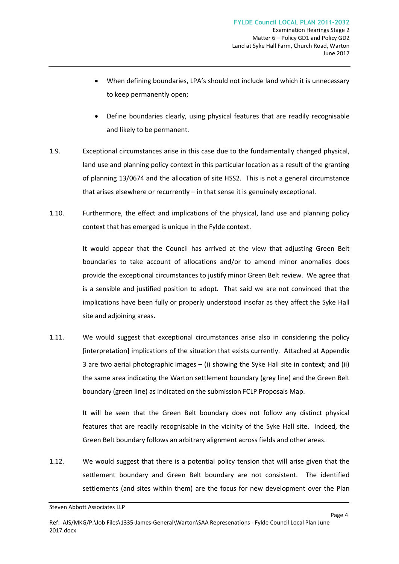- When defining boundaries, LPA's should not include land which it is unnecessary to keep permanently open;
- Define boundaries clearly, using physical features that are readily recognisable and likely to be permanent.
- 1.9. Exceptional circumstances arise in this case due to the fundamentally changed physical, land use and planning policy context in this particular location as a result of the granting of planning 13/0674 and the allocation of site HSS2. This is not a general circumstance that arises elsewhere or recurrently – in that sense it is genuinely exceptional.
- 1.10. Furthermore, the effect and implications of the physical, land use and planning policy context that has emerged is unique in the Fylde context.

It would appear that the Council has arrived at the view that adjusting Green Belt boundaries to take account of allocations and/or to amend minor anomalies does provide the exceptional circumstances to justify minor Green Belt review. We agree that is a sensible and justified position to adopt. That said we are not convinced that the implications have been fully or properly understood insofar as they affect the Syke Hall site and adjoining areas.

1.11. We would suggest that exceptional circumstances arise also in considering the policy [interpretation] implications of the situation that exists currently. Attached at Appendix 3 are two aerial photographic images – (i) showing the Syke Hall site in context; and (ii) the same area indicating the Warton settlement boundary (grey line) and the Green Belt boundary (green line) as indicated on the submission FCLP Proposals Map.

> It will be seen that the Green Belt boundary does not follow any distinct physical features that are readily recognisable in the vicinity of the Syke Hall site. Indeed, the Green Belt boundary follows an arbitrary alignment across fields and other areas.

> > Page 4

1.12. We would suggest that there is a potential policy tension that will arise given that the settlement boundary and Green Belt boundary are not consistent. The identified settlements (and sites within them) are the focus for new development over the Plan

Steven Abbott Associates LLP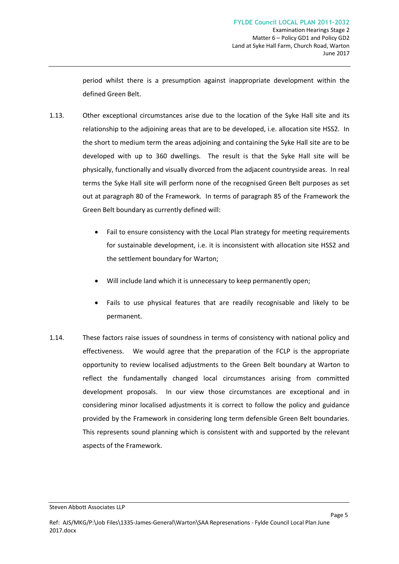Page 5

period whilst there is a presumption against inappropriate development within the defined Green Belt.

- 1.13. Other exceptional circumstances arise due to the location of the Syke Hall site and its relationship to the adjoining areas that are to be developed, i.e. allocation site HSS2. In the short to medium term the areas adjoining and containing the Syke Hall site are to be developed with up to 360 dwellings. The result is that the Syke Hall site will be physically, functionally and visually divorced from the adjacent countryside areas. In real terms the Syke Hall site will perform none of the recognised Green Belt purposes as set out at paragraph 80 of the Framework. In terms of paragraph 85 of the Framework the Green Belt boundary as currently defined will:
	- Fail to ensure consistency with the Local Plan strategy for meeting requirements for sustainable development, i.e. it is inconsistent with allocation site HSS2 and the settlement boundary for Warton;
	- Will include land which it is unnecessary to keep permanently open;
	- · Fails to use physical features that are readily recognisable and likely to be permanent.
- 1.14. These factors raise issues of soundness in terms of consistency with national policy and effectiveness. We would agree that the preparation of the FCLP is the appropriate opportunity to review localised adjustments to the Green Belt boundary at Warton to reflect the fundamentally changed local circumstances arising from committed development proposals. In our view those circumstances are exceptional and in considering minor localised adjustments it is correct to follow the policy and guidance provided by the Framework in considering long term defensible Green Belt boundaries. This represents sound planning which is consistent with and supported by the relevant aspects of the Framework.

Steven Abbott Associates LLP